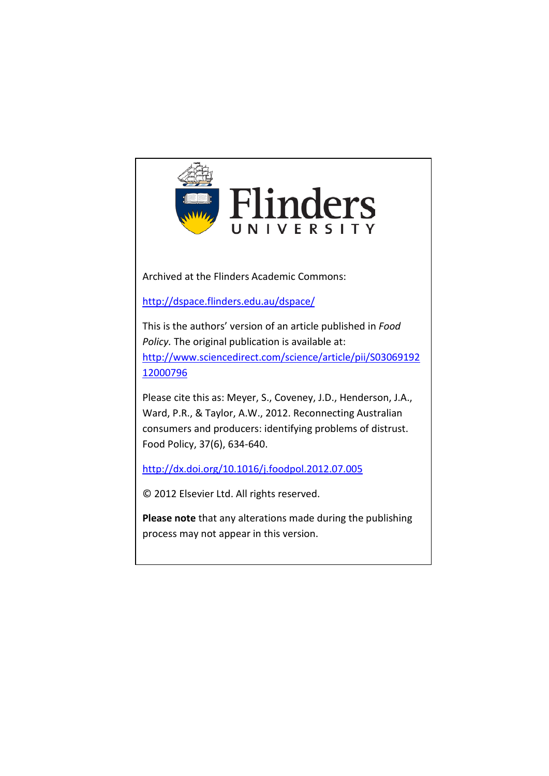

Archived at the Flinders Academic Commons:

<http://dspace.flinders.edu.au/dspace/>

This is the authors' version of an article published in *Food Policy.* The original publication is available at: [http://www.sciencedirect.com/science/article/pii/S03069192](http://www.sciencedirect.com/science/article/pii/S0306919212000796) [12000796](http://www.sciencedirect.com/science/article/pii/S0306919212000796)

Please cite this as: Meyer, S., Coveney, J.D., Henderson, J.A., Ward, P.R., & Taylor, A.W., 2012. Reconnecting Australian consumers and producers: identifying problems of distrust. Food Policy, 37(6), 634-640.

<http://dx.doi.org/10.1016/j.foodpol.2012.07.005>

© 2012 Elsevier Ltd. All rights reserved.

**Please note** that any alterations made during the publishing process may not appear in this version.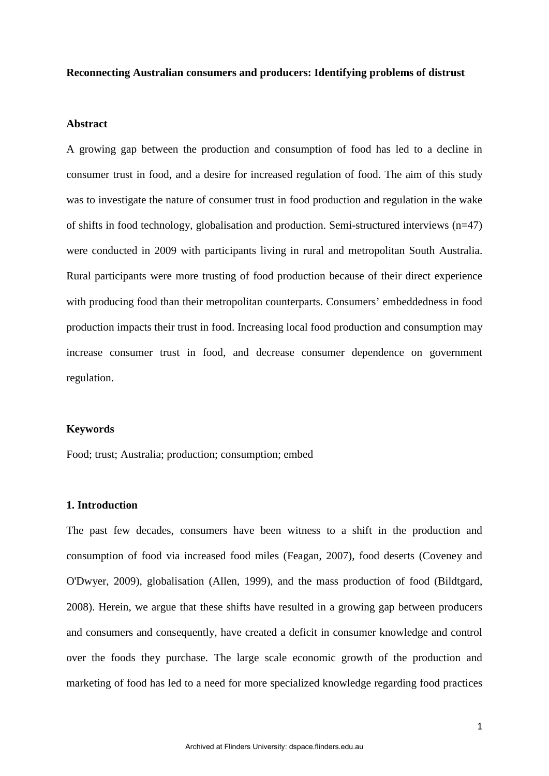#### **Reconnecting Australian consumers and producers: Identifying problems of distrust**

#### **Abstract**

A growing gap between the production and consumption of food has led to a decline in consumer trust in food, and a desire for increased regulation of food. The aim of this study was to investigate the nature of consumer trust in food production and regulation in the wake of shifts in food technology, globalisation and production. Semi-structured interviews  $(n=47)$ were conducted in 2009 with participants living in rural and metropolitan South Australia. Rural participants were more trusting of food production because of their direct experience with producing food than their metropolitan counterparts. Consumers' embeddedness in food production impacts their trust in food. Increasing local food production and consumption may increase consumer trust in food, and decrease consumer dependence on government regulation.

#### **Keywords**

Food; trust; Australia; production; consumption; embed

### **1. Introduction**

The past few decades, consumers have been witness to a shift in the production and consumption of food via increased food miles (Feagan, 2007), food deserts (Coveney and O'Dwyer, 2009), globalisation (Allen, 1999), and the mass production of food (Bildtgard, 2008). Herein, we argue that these shifts have resulted in a growing gap between producers and consumers and consequently, have created a deficit in consumer knowledge and control over the foods they purchase. The large scale economic growth of the production and marketing of food has led to a need for more specialized knowledge regarding food practices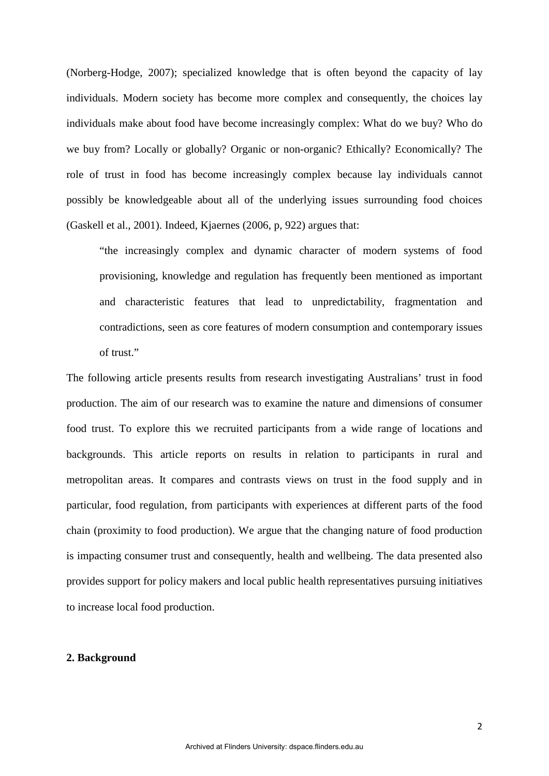(Norberg-Hodge, 2007); specialized knowledge that is often beyond the capacity of lay individuals. Modern society has become more complex and consequently, the choices lay individuals make about food have become increasingly complex: What do we buy? Who do we buy from? Locally or globally? Organic or non-organic? Ethically? Economically? The role of trust in food has become increasingly complex because lay individuals cannot possibly be knowledgeable about all of the underlying issues surrounding food choices (Gaskell et al., 2001). Indeed, Kjaernes (2006, p, 922) argues that:

"the increasingly complex and dynamic character of modern systems of food provisioning, knowledge and regulation has frequently been mentioned as important and characteristic features that lead to unpredictability, fragmentation and contradictions, seen as core features of modern consumption and contemporary issues of trust."

The following article presents results from research investigating Australians' trust in food production. The aim of our research was to examine the nature and dimensions of consumer food trust. To explore this we recruited participants from a wide range of locations and backgrounds. This article reports on results in relation to participants in rural and metropolitan areas. It compares and contrasts views on trust in the food supply and in particular, food regulation, from participants with experiences at different parts of the food chain (proximity to food production). We argue that the changing nature of food production is impacting consumer trust and consequently, health and wellbeing. The data presented also provides support for policy makers and local public health representatives pursuing initiatives to increase local food production.

### **2. Background**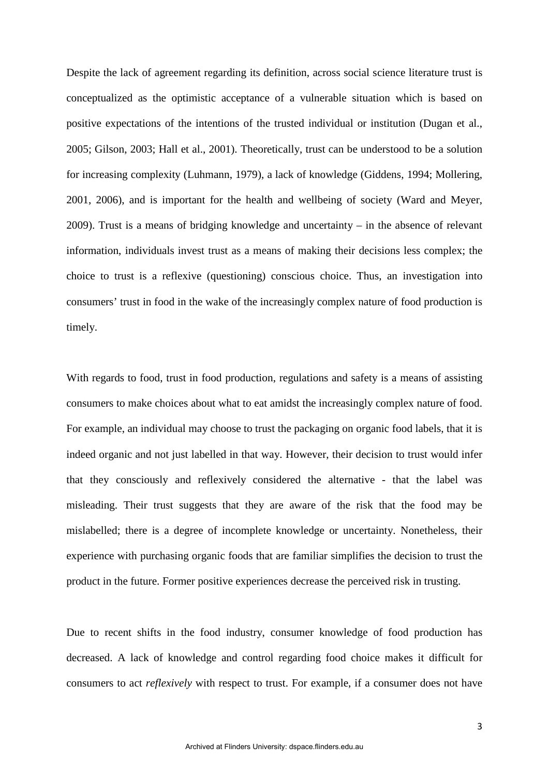Despite the lack of agreement regarding its definition, across social science literature trust is conceptualized as the optimistic acceptance of a vulnerable situation which is based on positive expectations of the intentions of the trusted individual or institution (Dugan et al., 2005; Gilson, 2003; Hall et al., 2001). Theoretically, trust can be understood to be a solution for increasing complexity (Luhmann, 1979), a lack of knowledge (Giddens, 1994; Mollering, 2001, 2006), and is important for the health and wellbeing of society (Ward and Meyer, 2009). Trust is a means of bridging knowledge and uncertainty – in the absence of relevant information, individuals invest trust as a means of making their decisions less complex; the choice to trust is a reflexive (questioning) conscious choice. Thus, an investigation into consumers' trust in food in the wake of the increasingly complex nature of food production is timely.

With regards to food, trust in food production, regulations and safety is a means of assisting consumers to make choices about what to eat amidst the increasingly complex nature of food. For example, an individual may choose to trust the packaging on organic food labels, that it is indeed organic and not just labelled in that way. However, their decision to trust would infer that they consciously and reflexively considered the alternative - that the label was misleading. Their trust suggests that they are aware of the risk that the food may be mislabelled; there is a degree of incomplete knowledge or uncertainty. Nonetheless, their experience with purchasing organic foods that are familiar simplifies the decision to trust the product in the future. Former positive experiences decrease the perceived risk in trusting.

Due to recent shifts in the food industry, consumer knowledge of food production has decreased. A lack of knowledge and control regarding food choice makes it difficult for consumers to act *reflexively* with respect to trust. For example, if a consumer does not have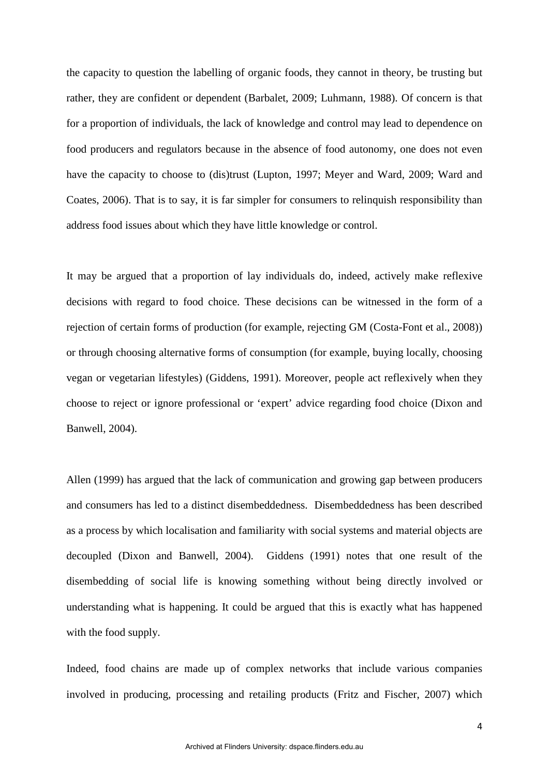the capacity to question the labelling of organic foods, they cannot in theory, be trusting but rather, they are confident or dependent (Barbalet, 2009; Luhmann, 1988). Of concern is that for a proportion of individuals, the lack of knowledge and control may lead to dependence on food producers and regulators because in the absence of food autonomy, one does not even have the capacity to choose to (dis)trust (Lupton, 1997; Meyer and Ward, 2009; Ward and Coates, 2006). That is to say, it is far simpler for consumers to relinquish responsibility than address food issues about which they have little knowledge or control.

It may be argued that a proportion of lay individuals do, indeed, actively make reflexive decisions with regard to food choice. These decisions can be witnessed in the form of a rejection of certain forms of production (for example, rejecting GM (Costa-Font et al., 2008)) or through choosing alternative forms of consumption (for example, buying locally, choosing vegan or vegetarian lifestyles) (Giddens, 1991). Moreover, people act reflexively when they choose to reject or ignore professional or 'expert' advice regarding food choice (Dixon and Banwell, 2004).

Allen (1999) has argued that the lack of communication and growing gap between producers and consumers has led to a distinct disembeddedness. Disembeddedness has been described as a process by which localisation and familiarity with social systems and material objects are decoupled (Dixon and Banwell, 2004). Giddens (1991) notes that one result of the disembedding of social life is knowing something without being directly involved or understanding what is happening. It could be argued that this is exactly what has happened with the food supply.

Indeed, food chains are made up of complex networks that include various companies involved in producing, processing and retailing products (Fritz and Fischer, 2007) which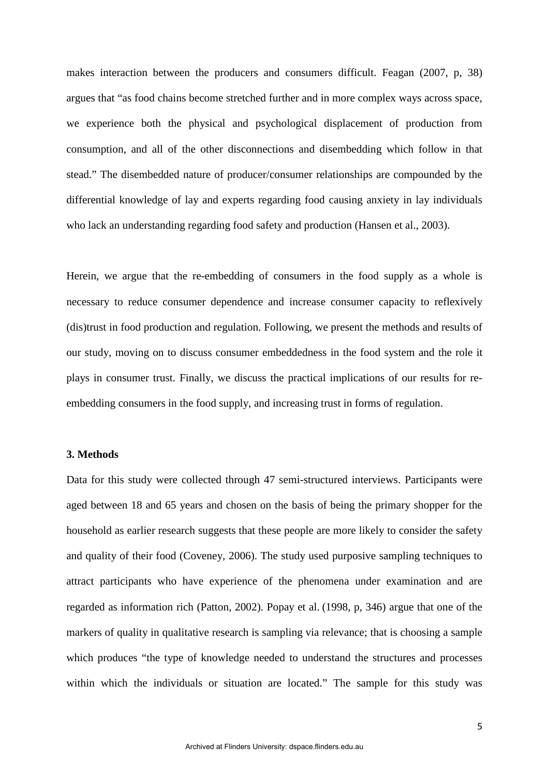makes interaction between the producers and consumers difficult. Feagan (2007, p, 38) argues that "as food chains become stretched further and in more complex ways across space, we experience both the physical and psychological displacement of production from consumption, and all of the other disconnections and disembedding which follow in that stead." The disembedded nature of producer/consumer relationships are compounded by the differential knowledge of lay and experts regarding food causing anxiety in lay individuals who lack an understanding regarding food safety and production (Hansen et al., 2003).

Herein, we argue that the re-embedding of consumers in the food supply as a whole is necessary to reduce consumer dependence and increase consumer capacity to reflexively (dis)trust in food production and regulation. Following, we present the methods and results of our study, moving on to discuss consumer embeddedness in the food system and the role it plays in consumer trust. Finally, we discuss the practical implications of our results for reembedding consumers in the food supply, and increasing trust in forms of regulation.

### **3. Methods**

Data for this study were collected through 47 semi-structured interviews. Participants were aged between 18 and 65 years and chosen on the basis of being the primary shopper for the household as earlier research suggests that these people are more likely to consider the safety and quality of their food (Coveney, 2006). The study used purposive sampling techniques to attract participants who have experience of the phenomena under examination and are regarded as information rich (Patton, 2002). Popay et al. (1998, p, 346) argue that one of the markers of quality in qualitative research is sampling via relevance; that is choosing a sample which produces "the type of knowledge needed to understand the structures and processes within which the individuals or situation are located." The sample for this study was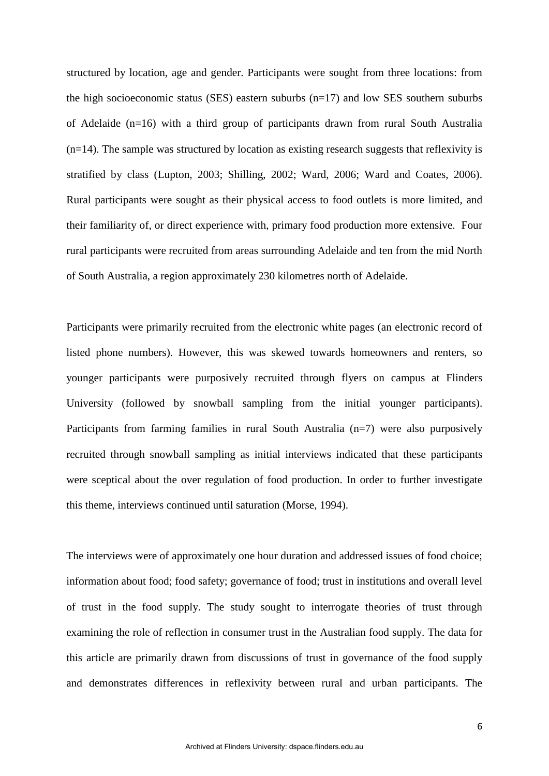structured by location, age and gender. Participants were sought from three locations: from the high socioeconomic status (SES) eastern suburbs  $(n=17)$  and low SES southern suburbs of Adelaide (n=16) with a third group of participants drawn from rural South Australia  $(n=14)$ . The sample was structured by location as existing research suggests that reflexivity is stratified by class (Lupton, 2003; Shilling, 2002; Ward, 2006; Ward and Coates, 2006). Rural participants were sought as their physical access to food outlets is more limited, and their familiarity of, or direct experience with, primary food production more extensive. Four rural participants were recruited from areas surrounding Adelaide and ten from the mid North of South Australia, a region approximately 230 kilometres north of Adelaide.

Participants were primarily recruited from the electronic white pages (an electronic record of listed phone numbers). However, this was skewed towards homeowners and renters, so younger participants were purposively recruited through flyers on campus at Flinders University (followed by snowball sampling from the initial younger participants). Participants from farming families in rural South Australia (n=7) were also purposively recruited through snowball sampling as initial interviews indicated that these participants were sceptical about the over regulation of food production. In order to further investigate this theme, interviews continued until saturation (Morse, 1994).

The interviews were of approximately one hour duration and addressed issues of food choice; information about food; food safety; governance of food; trust in institutions and overall level of trust in the food supply. The study sought to interrogate theories of trust through examining the role of reflection in consumer trust in the Australian food supply. The data for this article are primarily drawn from discussions of trust in governance of the food supply and demonstrates differences in reflexivity between rural and urban participants. The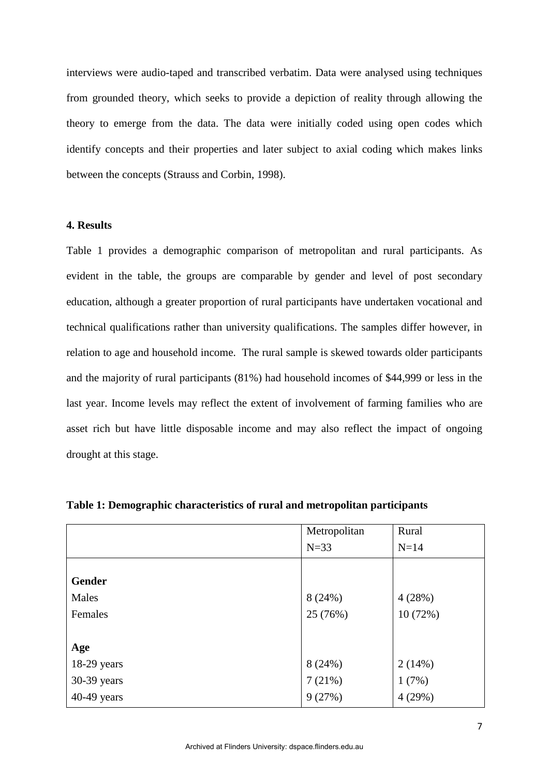interviews were audio-taped and transcribed verbatim. Data were analysed using techniques from grounded theory, which seeks to provide a depiction of reality through allowing the theory to emerge from the data. The data were initially coded using open codes which identify concepts and their properties and later subject to axial coding which makes links between the concepts (Strauss and Corbin, 1998).

## **4. Results**

Table 1 provides a demographic comparison of metropolitan and rural participants. As evident in the table, the groups are comparable by gender and level of post secondary education, although a greater proportion of rural participants have undertaken vocational and technical qualifications rather than university qualifications. The samples differ however, in relation to age and household income. The rural sample is skewed towards older participants and the majority of rural participants (81%) had household incomes of \$44,999 or less in the last year. Income levels may reflect the extent of involvement of farming families who are asset rich but have little disposable income and may also reflect the impact of ongoing drought at this stage.

|               | Metropolitan | Rural   |
|---------------|--------------|---------|
|               | $N=33$       | $N=14$  |
|               |              |         |
| <b>Gender</b> |              |         |
| Males         | 8(24%)       | 4(28%)  |
| Females       | 25 (76%)     | 10(72%) |
|               |              |         |
| Age           |              |         |
| 18-29 years   | 8(24%)       | 2(14%)  |
| 30-39 years   | 7(21%)       | 1(7%)   |
| 40-49 years   | 9(27%)       | 4(29%)  |

**Table 1: Demographic characteristics of rural and metropolitan participants**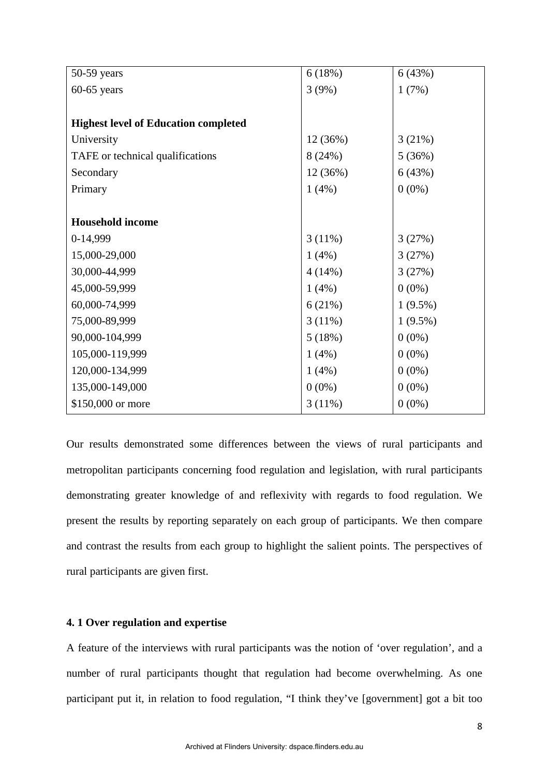| $50-59$ years                               | 6(18%)   | 6(43%)     |
|---------------------------------------------|----------|------------|
| $60-65$ years                               | 3(9%)    | 1(7%)      |
|                                             |          |            |
| <b>Highest level of Education completed</b> |          |            |
| University                                  | 12 (36%) | 3(21%)     |
| TAFE or technical qualifications            | 8(24%)   | 5(36%)     |
| Secondary                                   | 12 (36%) | 6(43%)     |
| Primary                                     | 1(4%)    | $0(0\%)$   |
|                                             |          |            |
| <b>Household income</b>                     |          |            |
| 0-14,999                                    | 3(11%)   | 3(27%)     |
| 15,000-29,000                               | 1(4%)    | 3(27%)     |
| 30,000-44,999                               | 4(14%)   | 3(27%)     |
| 45,000-59,999                               | 1(4%)    | $0(0\%)$   |
| 60,000-74,999                               | 6(21%)   | $1(9.5\%)$ |
| 75,000-89,999                               | 3(11%)   | $1(9.5\%)$ |
| 90,000-104,999                              | 5(18%)   | $0(0\%)$   |
| 105,000-119,999                             | 1(4%)    | $0(0\%)$   |
| 120,000-134,999                             | 1(4%)    | $0(0\%)$   |
| 135,000-149,000                             | $0(0\%)$ | $0(0\%)$   |
| \$150,000 or more                           | 3(11%)   | $0(0\%)$   |

Our results demonstrated some differences between the views of rural participants and metropolitan participants concerning food regulation and legislation, with rural participants demonstrating greater knowledge of and reflexivity with regards to food regulation. We present the results by reporting separately on each group of participants. We then compare and contrast the results from each group to highlight the salient points. The perspectives of rural participants are given first.

# **4. 1 Over regulation and expertise**

A feature of the interviews with rural participants was the notion of 'over regulation', and a number of rural participants thought that regulation had become overwhelming. As one participant put it, in relation to food regulation, "I think they've [government] got a bit too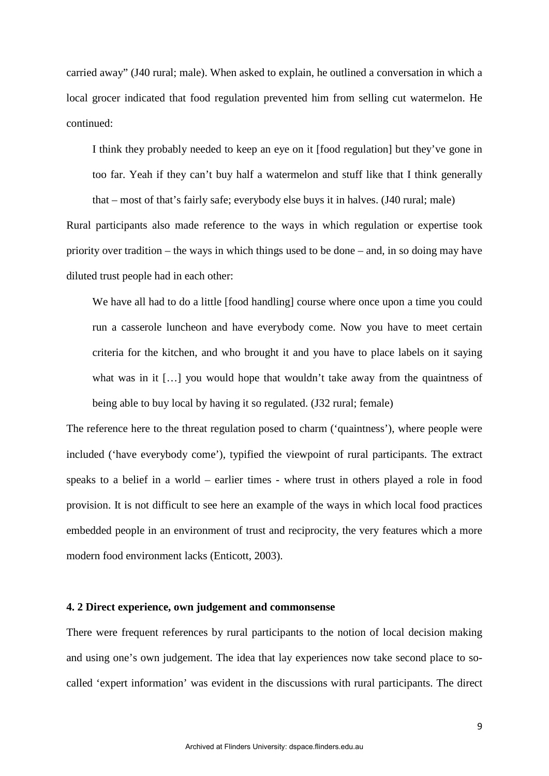carried away" (J40 rural; male). When asked to explain, he outlined a conversation in which a local grocer indicated that food regulation prevented him from selling cut watermelon. He continued:

I think they probably needed to keep an eye on it [food regulation] but they've gone in too far. Yeah if they can't buy half a watermelon and stuff like that I think generally

that – most of that's fairly safe; everybody else buys it in halves. (J40 rural; male) Rural participants also made reference to the ways in which regulation or expertise took priority over tradition – the ways in which things used to be done – and, in so doing may have diluted trust people had in each other:

We have all had to do a little [food handling] course where once upon a time you could run a casserole luncheon and have everybody come. Now you have to meet certain criteria for the kitchen, and who brought it and you have to place labels on it saying what was in it [...] you would hope that wouldn't take away from the quaintness of being able to buy local by having it so regulated. (J32 rural; female)

The reference here to the threat regulation posed to charm ('quaintness'), where people were included ('have everybody come'), typified the viewpoint of rural participants. The extract speaks to a belief in a world – earlier times - where trust in others played a role in food provision. It is not difficult to see here an example of the ways in which local food practices embedded people in an environment of trust and reciprocity, the very features which a more modern food environment lacks (Enticott, 2003).

### **4. 2 Direct experience, own judgement and commonsense**

There were frequent references by rural participants to the notion of local decision making and using one's own judgement. The idea that lay experiences now take second place to socalled 'expert information' was evident in the discussions with rural participants. The direct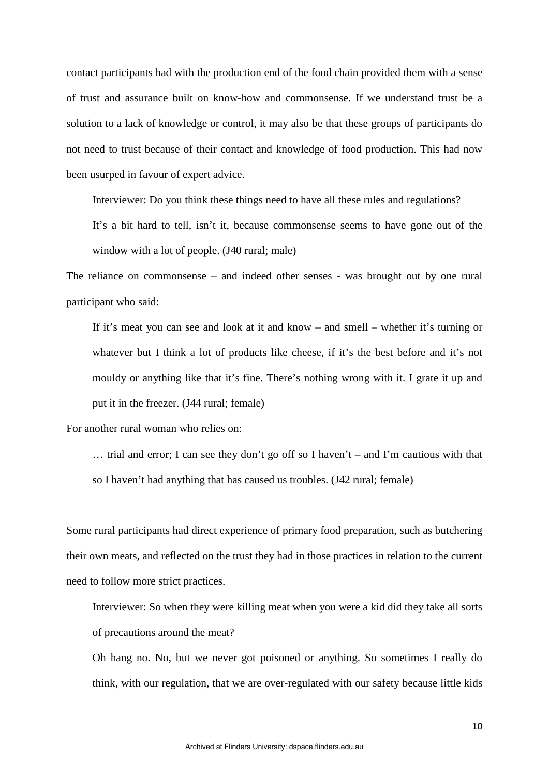contact participants had with the production end of the food chain provided them with a sense of trust and assurance built on know-how and commonsense. If we understand trust be a solution to a lack of knowledge or control, it may also be that these groups of participants do not need to trust because of their contact and knowledge of food production. This had now been usurped in favour of expert advice.

Interviewer: Do you think these things need to have all these rules and regulations?

It's a bit hard to tell, isn't it, because commonsense seems to have gone out of the window with a lot of people. (J40 rural; male)

The reliance on commonsense – and indeed other senses - was brought out by one rural participant who said:

If it's meat you can see and look at it and know – and smell – whether it's turning or whatever but I think a lot of products like cheese, if it's the best before and it's not mouldy or anything like that it's fine. There's nothing wrong with it. I grate it up and put it in the freezer. (J44 rural; female)

For another rural woman who relies on:

… trial and error; I can see they don't go off so I haven't – and I'm cautious with that so I haven't had anything that has caused us troubles. (J42 rural; female)

Some rural participants had direct experience of primary food preparation, such as butchering their own meats, and reflected on the trust they had in those practices in relation to the current need to follow more strict practices.

Interviewer: So when they were killing meat when you were a kid did they take all sorts of precautions around the meat?

Oh hang no. No, but we never got poisoned or anything. So sometimes I really do think, with our regulation, that we are over-regulated with our safety because little kids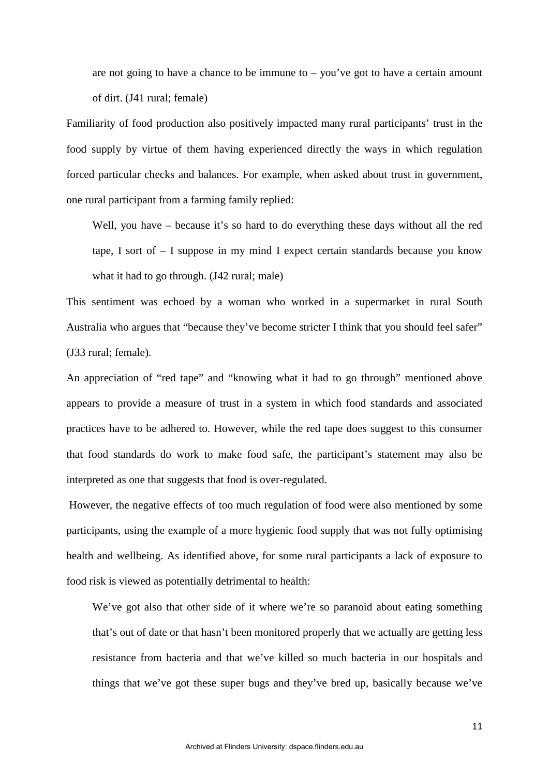are not going to have a chance to be immune to – you've got to have a certain amount of dirt. (J41 rural; female)

Familiarity of food production also positively impacted many rural participants' trust in the food supply by virtue of them having experienced directly the ways in which regulation forced particular checks and balances. For example, when asked about trust in government, one rural participant from a farming family replied:

Well, you have – because it's so hard to do everything these days without all the red tape, I sort of – I suppose in my mind I expect certain standards because you know what it had to go through. (J42 rural; male)

This sentiment was echoed by a woman who worked in a supermarket in rural South Australia who argues that "because they've become stricter I think that you should feel safer" (J33 rural; female).

An appreciation of "red tape" and "knowing what it had to go through" mentioned above appears to provide a measure of trust in a system in which food standards and associated practices have to be adhered to. However, while the red tape does suggest to this consumer that food standards do work to make food safe, the participant's statement may also be interpreted as one that suggests that food is over-regulated.

However, the negative effects of too much regulation of food were also mentioned by some participants, using the example of a more hygienic food supply that was not fully optimising health and wellbeing. As identified above, for some rural participants a lack of exposure to food risk is viewed as potentially detrimental to health:

We've got also that other side of it where we're so paranoid about eating something that's out of date or that hasn't been monitored properly that we actually are getting less resistance from bacteria and that we've killed so much bacteria in our hospitals and things that we've got these super bugs and they've bred up, basically because we've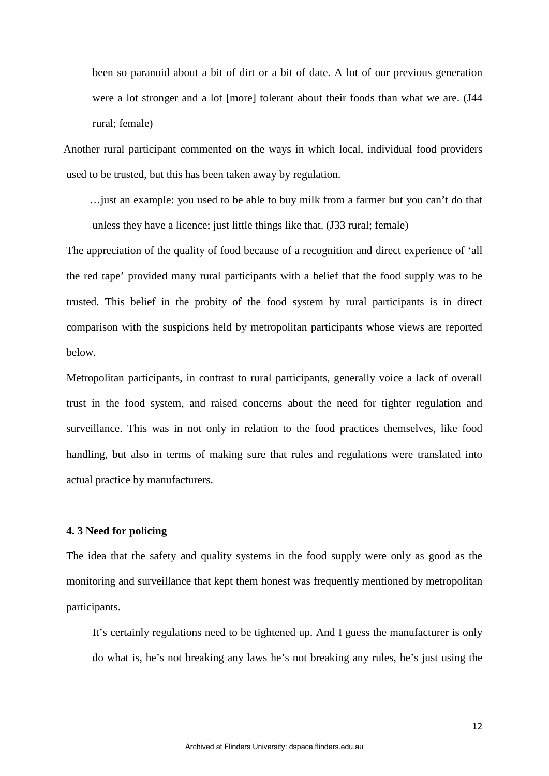been so paranoid about a bit of dirt or a bit of date. A lot of our previous generation were a lot stronger and a lot [more] tolerant about their foods than what we are. (J44 rural; female)

Another rural participant commented on the ways in which local, individual food providers used to be trusted, but this has been taken away by regulation.

…just an example: you used to be able to buy milk from a farmer but you can't do that unless they have a licence; just little things like that. (J33 rural; female)

The appreciation of the quality of food because of a recognition and direct experience of 'all the red tape' provided many rural participants with a belief that the food supply was to be trusted. This belief in the probity of the food system by rural participants is in direct comparison with the suspicions held by metropolitan participants whose views are reported below.

Metropolitan participants, in contrast to rural participants, generally voice a lack of overall trust in the food system, and raised concerns about the need for tighter regulation and surveillance. This was in not only in relation to the food practices themselves, like food handling, but also in terms of making sure that rules and regulations were translated into actual practice by manufacturers.

## **4. 3 Need for policing**

The idea that the safety and quality systems in the food supply were only as good as the monitoring and surveillance that kept them honest was frequently mentioned by metropolitan participants.

It's certainly regulations need to be tightened up. And I guess the manufacturer is only do what is, he's not breaking any laws he's not breaking any rules, he's just using the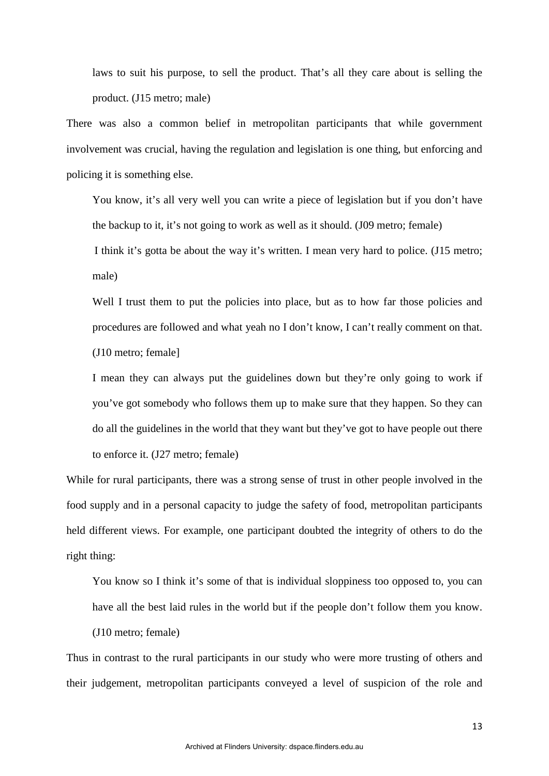laws to suit his purpose, to sell the product. That's all they care about is selling the product. (J15 metro; male)

There was also a common belief in metropolitan participants that while government involvement was crucial, having the regulation and legislation is one thing, but enforcing and policing it is something else.

You know, it's all very well you can write a piece of legislation but if you don't have the backup to it, it's not going to work as well as it should. (J09 metro; female)

I think it's gotta be about the way it's written. I mean very hard to police. (J15 metro; male)

Well I trust them to put the policies into place, but as to how far those policies and procedures are followed and what yeah no I don't know, I can't really comment on that. (J10 metro; female]

I mean they can always put the guidelines down but they're only going to work if you've got somebody who follows them up to make sure that they happen. So they can do all the guidelines in the world that they want but they've got to have people out there to enforce it. (J27 metro; female)

While for rural participants, there was a strong sense of trust in other people involved in the food supply and in a personal capacity to judge the safety of food, metropolitan participants held different views. For example, one participant doubted the integrity of others to do the right thing:

You know so I think it's some of that is individual sloppiness too opposed to, you can have all the best laid rules in the world but if the people don't follow them you know. (J10 metro; female)

Thus in contrast to the rural participants in our study who were more trusting of others and their judgement, metropolitan participants conveyed a level of suspicion of the role and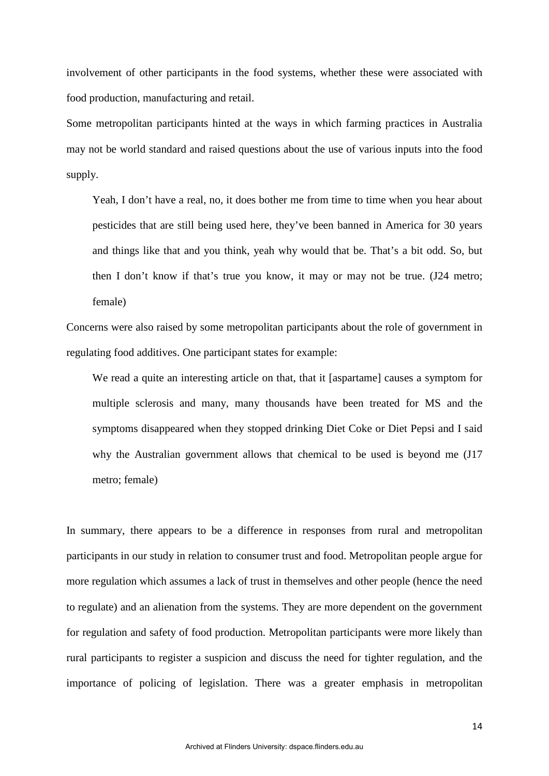involvement of other participants in the food systems, whether these were associated with food production, manufacturing and retail.

Some metropolitan participants hinted at the ways in which farming practices in Australia may not be world standard and raised questions about the use of various inputs into the food supply.

Yeah, I don't have a real, no, it does bother me from time to time when you hear about pesticides that are still being used here, they've been banned in America for 30 years and things like that and you think, yeah why would that be. That's a bit odd. So, but then I don't know if that's true you know, it may or may not be true. (J24 metro; female)

Concerns were also raised by some metropolitan participants about the role of government in regulating food additives. One participant states for example:

We read a quite an interesting article on that, that it [aspartame] causes a symptom for multiple sclerosis and many, many thousands have been treated for MS and the symptoms disappeared when they stopped drinking Diet Coke or Diet Pepsi and I said why the Australian government allows that chemical to be used is beyond me (J17 metro; female)

In summary, there appears to be a difference in responses from rural and metropolitan participants in our study in relation to consumer trust and food. Metropolitan people argue for more regulation which assumes a lack of trust in themselves and other people (hence the need to regulate) and an alienation from the systems. They are more dependent on the government for regulation and safety of food production. Metropolitan participants were more likely than rural participants to register a suspicion and discuss the need for tighter regulation, and the importance of policing of legislation. There was a greater emphasis in metropolitan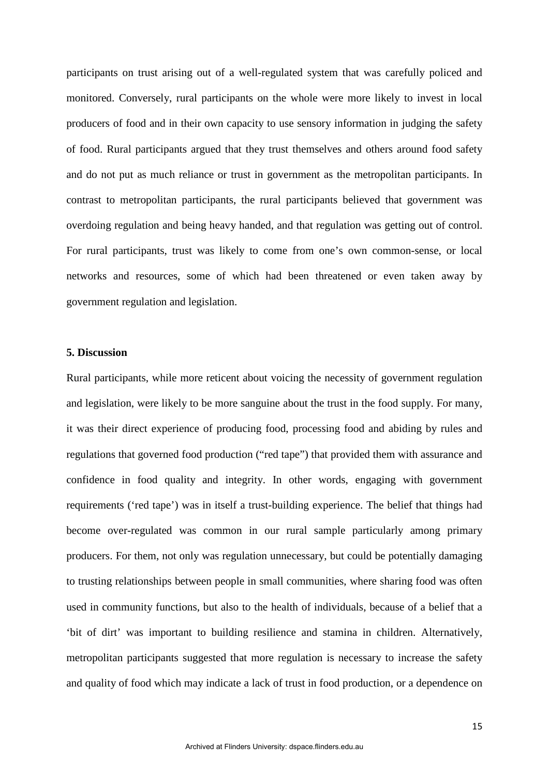participants on trust arising out of a well-regulated system that was carefully policed and monitored. Conversely, rural participants on the whole were more likely to invest in local producers of food and in their own capacity to use sensory information in judging the safety of food. Rural participants argued that they trust themselves and others around food safety and do not put as much reliance or trust in government as the metropolitan participants. In contrast to metropolitan participants, the rural participants believed that government was overdoing regulation and being heavy handed, and that regulation was getting out of control. For rural participants, trust was likely to come from one's own common-sense, or local networks and resources, some of which had been threatened or even taken away by government regulation and legislation.

## **5. Discussion**

Rural participants, while more reticent about voicing the necessity of government regulation and legislation, were likely to be more sanguine about the trust in the food supply. For many, it was their direct experience of producing food, processing food and abiding by rules and regulations that governed food production ("red tape") that provided them with assurance and confidence in food quality and integrity. In other words, engaging with government requirements ('red tape') was in itself a trust-building experience. The belief that things had become over-regulated was common in our rural sample particularly among primary producers. For them, not only was regulation unnecessary, but could be potentially damaging to trusting relationships between people in small communities, where sharing food was often used in community functions, but also to the health of individuals, because of a belief that a 'bit of dirt' was important to building resilience and stamina in children. Alternatively, metropolitan participants suggested that more regulation is necessary to increase the safety and quality of food which may indicate a lack of trust in food production, or a dependence on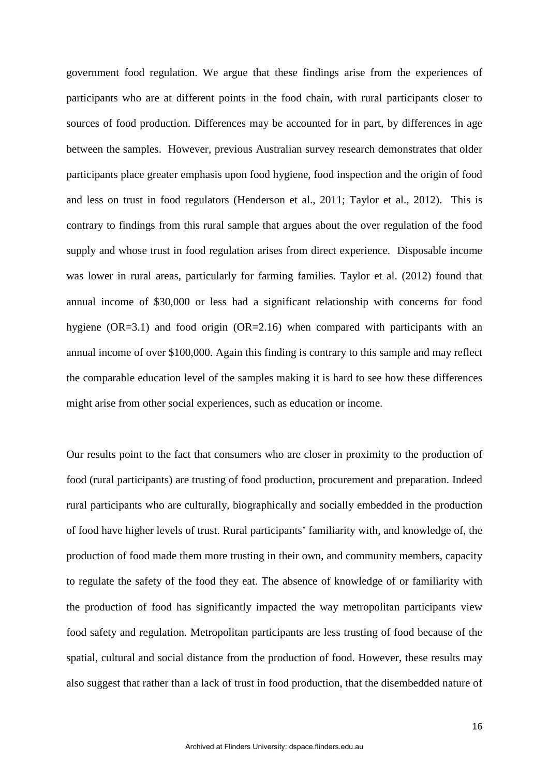government food regulation. We argue that these findings arise from the experiences of participants who are at different points in the food chain, with rural participants closer to sources of food production. Differences may be accounted for in part, by differences in age between the samples. However, previous Australian survey research demonstrates that older participants place greater emphasis upon food hygiene, food inspection and the origin of food and less on trust in food regulators (Henderson et al., 2011; Taylor et al., 2012). This is contrary to findings from this rural sample that argues about the over regulation of the food supply and whose trust in food regulation arises from direct experience. Disposable income was lower in rural areas, particularly for farming families. Taylor et al. (2012) found that annual income of \$30,000 or less had a significant relationship with concerns for food hygiene (OR=3.1) and food origin (OR=2.16) when compared with participants with an annual income of over \$100,000. Again this finding is contrary to this sample and may reflect the comparable education level of the samples making it is hard to see how these differences might arise from other social experiences, such as education or income.

Our results point to the fact that consumers who are closer in proximity to the production of food (rural participants) are trusting of food production, procurement and preparation. Indeed rural participants who are culturally, biographically and socially embedded in the production of food have higher levels of trust. Rural participants' familiarity with, and knowledge of, the production of food made them more trusting in their own, and community members, capacity to regulate the safety of the food they eat. The absence of knowledge of or familiarity with the production of food has significantly impacted the way metropolitan participants view food safety and regulation. Metropolitan participants are less trusting of food because of the spatial, cultural and social distance from the production of food. However, these results may also suggest that rather than a lack of trust in food production, that the disembedded nature of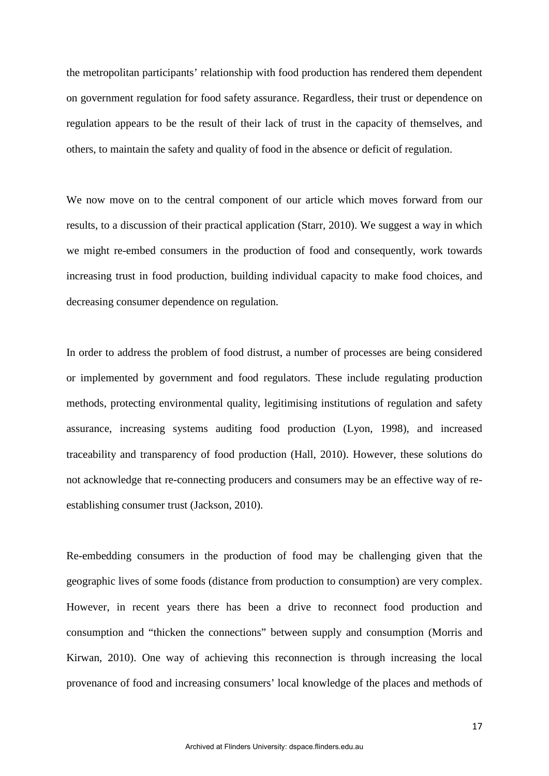the metropolitan participants' relationship with food production has rendered them dependent on government regulation for food safety assurance. Regardless, their trust or dependence on regulation appears to be the result of their lack of trust in the capacity of themselves, and others, to maintain the safety and quality of food in the absence or deficit of regulation.

We now move on to the central component of our article which moves forward from our results, to a discussion of their practical application (Starr, 2010). We suggest a way in which we might re-embed consumers in the production of food and consequently, work towards increasing trust in food production, building individual capacity to make food choices, and decreasing consumer dependence on regulation.

In order to address the problem of food distrust, a number of processes are being considered or implemented by government and food regulators. These include regulating production methods, protecting environmental quality, legitimising institutions of regulation and safety assurance, increasing systems auditing food production (Lyon, 1998), and increased traceability and transparency of food production (Hall, 2010). However, these solutions do not acknowledge that re-connecting producers and consumers may be an effective way of reestablishing consumer trust (Jackson, 2010).

Re-embedding consumers in the production of food may be challenging given that the geographic lives of some foods (distance from production to consumption) are very complex. However, in recent years there has been a drive to reconnect food production and consumption and "thicken the connections" between supply and consumption (Morris and Kirwan, 2010). One way of achieving this reconnection is through increasing the local provenance of food and increasing consumers' local knowledge of the places and methods of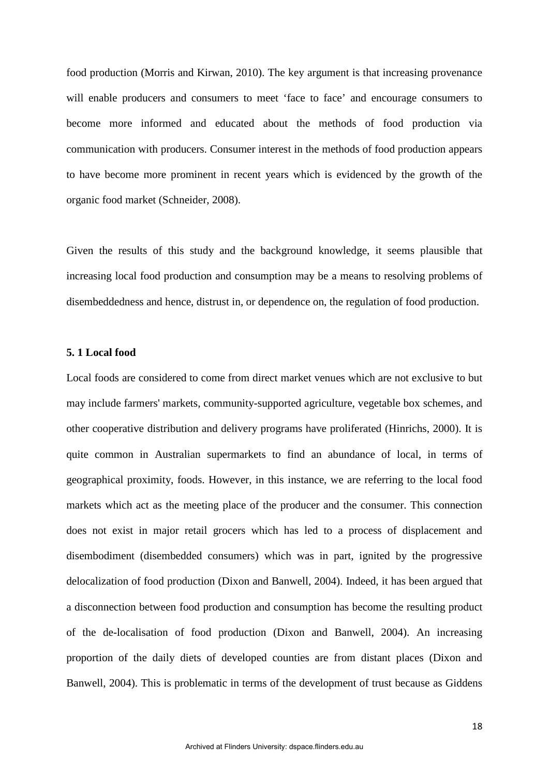food production (Morris and Kirwan, 2010). The key argument is that increasing provenance will enable producers and consumers to meet 'face to face' and encourage consumers to become more informed and educated about the methods of food production via communication with producers. Consumer interest in the methods of food production appears to have become more prominent in recent years which is evidenced by the growth of the organic food market (Schneider, 2008).

Given the results of this study and the background knowledge, it seems plausible that increasing local food production and consumption may be a means to resolving problems of disembeddedness and hence, distrust in, or dependence on, the regulation of food production.

### **5. 1 Local food**

Local foods are considered to come from direct market venues which are not exclusive to but may include farmers' markets, community-supported agriculture, vegetable box schemes, and other cooperative distribution and delivery programs have proliferated (Hinrichs, 2000). It is quite common in Australian supermarkets to find an abundance of local, in terms of geographical proximity, foods. However, in this instance, we are referring to the local food markets which act as the meeting place of the producer and the consumer. This connection does not exist in major retail grocers which has led to a process of displacement and disembodiment (disembedded consumers) which was in part, ignited by the progressive delocalization of food production (Dixon and Banwell, 2004). Indeed, it has been argued that a disconnection between food production and consumption has become the resulting product of the de-localisation of food production (Dixon and Banwell, 2004). An increasing proportion of the daily diets of developed counties are from distant places (Dixon and Banwell, 2004). This is problematic in terms of the development of trust because as Giddens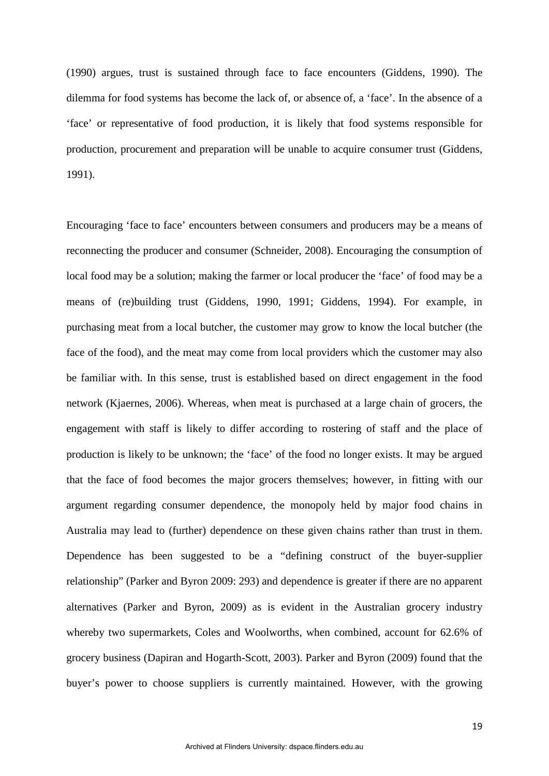(1990) argues, trust is sustained through face to face encounters (Giddens, 1990). The dilemma for food systems has become the lack of, or absence of, a 'face'. In the absence of a 'face' or representative of food production, it is likely that food systems responsible for production, procurement and preparation will be unable to acquire consumer trust (Giddens, 1991).

Encouraging 'face to face' encounters between consumers and producers may be a means of reconnecting the producer and consumer (Schneider, 2008). Encouraging the consumption of local food may be a solution; making the farmer or local producer the 'face' of food may be a means of (re)building trust (Giddens, 1990, 1991; Giddens, 1994). For example, in purchasing meat from a local butcher, the customer may grow to know the local butcher (the face of the food), and the meat may come from local providers which the customer may also be familiar with. In this sense, trust is established based on direct engagement in the food network (Kjaernes, 2006). Whereas, when meat is purchased at a large chain of grocers, the engagement with staff is likely to differ according to rostering of staff and the place of production is likely to be unknown; the 'face' of the food no longer exists. It may be argued that the face of food becomes the major grocers themselves; however, in fitting with our argument regarding consumer dependence, the monopoly held by major food chains in Australia may lead to (further) dependence on these given chains rather than trust in them. Dependence has been suggested to be a "defining construct of the buyer-supplier relationship" (Parker and Byron 2009: 293) and dependence is greater if there are no apparent alternatives (Parker and Byron, 2009) as is evident in the Australian grocery industry whereby two supermarkets, Coles and Woolworths, when combined, account for 62.6% of grocery business (Dapiran and Hogarth-Scott, 2003). Parker and Byron (2009) found that the buyer's power to choose suppliers is currently maintained. However, with the growing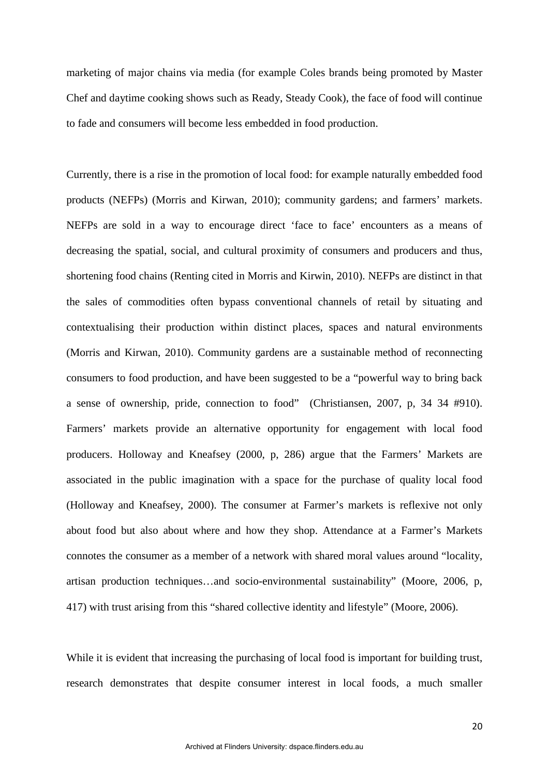marketing of major chains via media (for example Coles brands being promoted by Master Chef and daytime cooking shows such as Ready, Steady Cook), the face of food will continue to fade and consumers will become less embedded in food production.

Currently, there is a rise in the promotion of local food: for example naturally embedded food products (NEFPs) (Morris and Kirwan, 2010); community gardens; and farmers' markets. NEFPs are sold in a way to encourage direct 'face to face' encounters as a means of decreasing the spatial, social, and cultural proximity of consumers and producers and thus, shortening food chains (Renting cited in Morris and Kirwin, 2010). NEFPs are distinct in that the sales of commodities often bypass conventional channels of retail by situating and contextualising their production within distinct places, spaces and natural environments (Morris and Kirwan, 2010). Community gardens are a sustainable method of reconnecting consumers to food production, and have been suggested to be a "powerful way to bring back a sense of ownership, pride, connection to food" (Christiansen, 2007, p, 34 34 #910). Farmers' markets provide an alternative opportunity for engagement with local food producers. Holloway and Kneafsey (2000, p, 286) argue that the Farmers' Markets are associated in the public imagination with a space for the purchase of quality local food (Holloway and Kneafsey, 2000). The consumer at Farmer's markets is reflexive not only about food but also about where and how they shop. Attendance at a Farmer's Markets connotes the consumer as a member of a network with shared moral values around "locality, artisan production techniques…and socio-environmental sustainability" (Moore, 2006, p, 417) with trust arising from this "shared collective identity and lifestyle" (Moore, 2006).

While it is evident that increasing the purchasing of local food is important for building trust, research demonstrates that despite consumer interest in local foods, a much smaller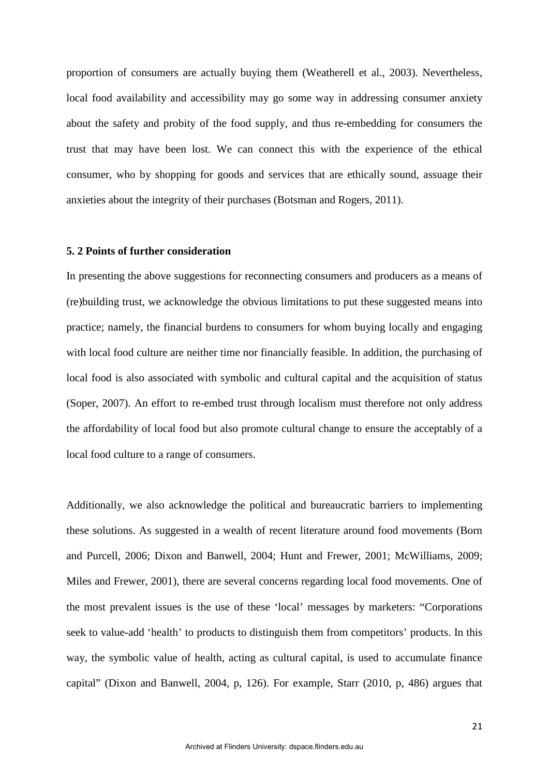proportion of consumers are actually buying them (Weatherell et al., 2003). Nevertheless, local food availability and accessibility may go some way in addressing consumer anxiety about the safety and probity of the food supply, and thus re-embedding for consumers the trust that may have been lost. We can connect this with the experience of the ethical consumer, who by shopping for goods and services that are ethically sound, assuage their anxieties about the integrity of their purchases (Botsman and Rogers, 2011).

#### **5. 2 Points of further consideration**

In presenting the above suggestions for reconnecting consumers and producers as a means of (re)building trust, we acknowledge the obvious limitations to put these suggested means into practice; namely, the financial burdens to consumers for whom buying locally and engaging with local food culture are neither time nor financially feasible. In addition, the purchasing of local food is also associated with symbolic and cultural capital and the acquisition of status (Soper, 2007). An effort to re-embed trust through localism must therefore not only address the affordability of local food but also promote cultural change to ensure the acceptably of a local food culture to a range of consumers.

Additionally, we also acknowledge the political and bureaucratic barriers to implementing these solutions. As suggested in a wealth of recent literature around food movements (Born and Purcell, 2006; Dixon and Banwell, 2004; Hunt and Frewer, 2001; McWilliams, 2009; Miles and Frewer, 2001), there are several concerns regarding local food movements. One of the most prevalent issues is the use of these 'local' messages by marketers: "Corporations seek to value-add 'health' to products to distinguish them from competitors' products. In this way, the symbolic value of health, acting as cultural capital, is used to accumulate finance capital" (Dixon and Banwell, 2004, p, 126). For example, Starr (2010, p, 486) argues that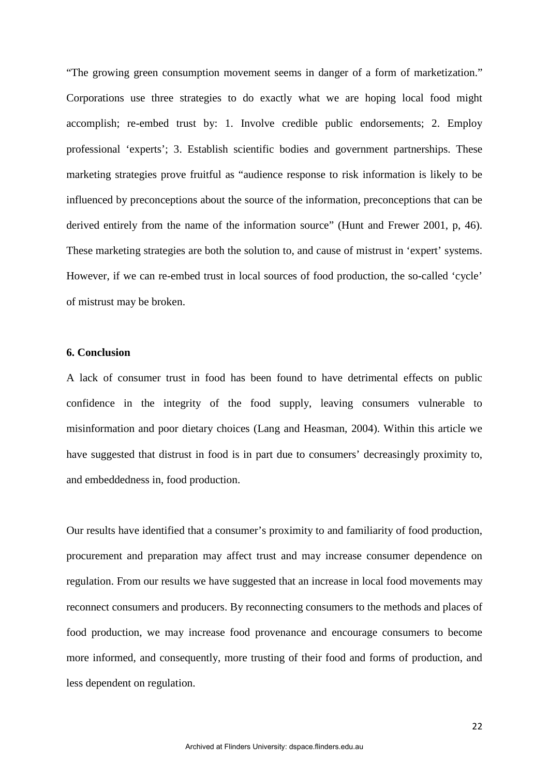"The growing green consumption movement seems in danger of a form of marketization." Corporations use three strategies to do exactly what we are hoping local food might accomplish; re-embed trust by: 1. Involve credible public endorsements; 2. Employ professional 'experts'; 3. Establish scientific bodies and government partnerships. These marketing strategies prove fruitful as "audience response to risk information is likely to be influenced by preconceptions about the source of the information, preconceptions that can be derived entirely from the name of the information source" (Hunt and Frewer 2001, p, 46). These marketing strategies are both the solution to, and cause of mistrust in 'expert' systems. However, if we can re-embed trust in local sources of food production, the so-called 'cycle' of mistrust may be broken.

#### **6. Conclusion**

A lack of consumer trust in food has been found to have detrimental effects on public confidence in the integrity of the food supply, leaving consumers vulnerable to misinformation and poor dietary choices (Lang and Heasman, 2004). Within this article we have suggested that distrust in food is in part due to consumers' decreasingly proximity to, and embeddedness in, food production.

Our results have identified that a consumer's proximity to and familiarity of food production, procurement and preparation may affect trust and may increase consumer dependence on regulation. From our results we have suggested that an increase in local food movements may reconnect consumers and producers. By reconnecting consumers to the methods and places of food production, we may increase food provenance and encourage consumers to become more informed, and consequently, more trusting of their food and forms of production, and less dependent on regulation.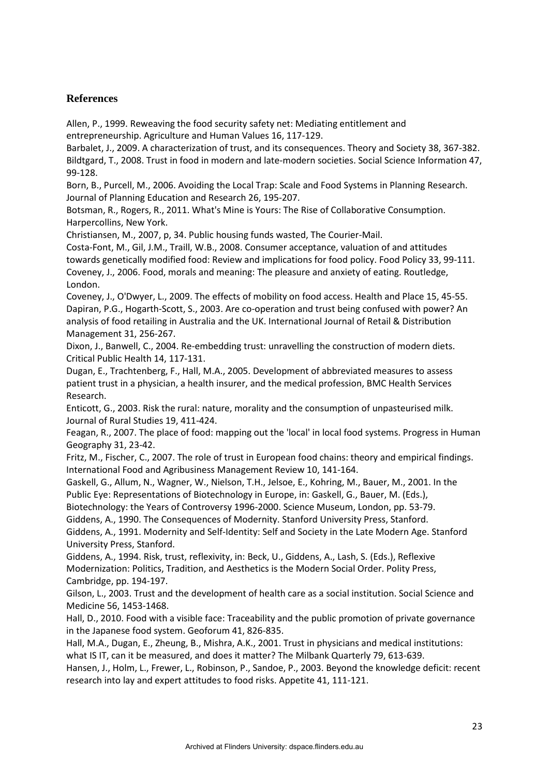# **References**

Allen, P., 1999. Reweaving the food security safety net: Mediating entitlement and entrepreneurship. Agriculture and Human Values 16, 117-129.

Barbalet, J., 2009. A characterization of trust, and its consequences. Theory and Society 38, 367-382. Bildtgard, T., 2008. Trust in food in modern and late-modern societies. Social Science Information 47, 99-128.

Born, B., Purcell, M., 2006. Avoiding the Local Trap: Scale and Food Systems in Planning Research. Journal of Planning Education and Research 26, 195-207.

Botsman, R., Rogers, R., 2011. What's Mine is Yours: The Rise of Collaborative Consumption. Harpercollins, New York.

Christiansen, M., 2007, p, 34. Public housing funds wasted, The Courier-Mail.

Costa-Font, M., Gil, J.M., Traill, W.B., 2008. Consumer acceptance, valuation of and attitudes towards genetically modified food: Review and implications for food policy. Food Policy 33, 99-111. Coveney, J., 2006. Food, morals and meaning: The pleasure and anxiety of eating. Routledge, London.

Coveney, J., O'Dwyer, L., 2009. The effects of mobility on food access. Health and Place 15, 45-55. Dapiran, P.G., Hogarth-Scott, S., 2003. Are co-operation and trust being confused with power? An analysis of food retailing in Australia and the UK. International Journal of Retail & Distribution Management 31, 256-267.

Dixon, J., Banwell, C., 2004. Re-embedding trust: unravelling the construction of modern diets. Critical Public Health 14, 117-131.

Dugan, E., Trachtenberg, F., Hall, M.A., 2005. Development of abbreviated measures to assess patient trust in a physician, a health insurer, and the medical profession, BMC Health Services Research.

Enticott, G., 2003. Risk the rural: nature, morality and the consumption of unpasteurised milk. Journal of Rural Studies 19, 411-424.

Feagan, R., 2007. The place of food: mapping out the 'local' in local food systems. Progress in Human Geography 31, 23-42.

Fritz, M., Fischer, C., 2007. The role of trust in European food chains: theory and empirical findings. International Food and Agribusiness Management Review 10, 141-164.

Gaskell, G., Allum, N., Wagner, W., Nielson, T.H., Jelsoe, E., Kohring, M., Bauer, M., 2001. In the Public Eye: Representations of Biotechnology in Europe, in: Gaskell, G., Bauer, M. (Eds.),

Biotechnology: the Years of Controversy 1996-2000. Science Museum, London, pp. 53-79.

Giddens, A., 1990. The Consequences of Modernity. Stanford University Press, Stanford.

Giddens, A., 1991. Modernity and Self-Identity: Self and Society in the Late Modern Age. Stanford University Press, Stanford.

Giddens, A., 1994. Risk, trust, reflexivity, in: Beck, U., Giddens, A., Lash, S. (Eds.), Reflexive Modernization: Politics, Tradition, and Aesthetics is the Modern Social Order. Polity Press, Cambridge, pp. 194-197.

Gilson, L., 2003. Trust and the development of health care as a social institution. Social Science and Medicine 56, 1453-1468.

Hall, D., 2010. Food with a visible face: Traceability and the public promotion of private governance in the Japanese food system. Geoforum 41, 826-835.

Hall, M.A., Dugan, E., Zheung, B., Mishra, A.K., 2001. Trust in physicians and medical institutions: what IS IT, can it be measured, and does it matter? The Milbank Quarterly 79, 613-639.

Hansen, J., Holm, L., Frewer, L., Robinson, P., Sandoe, P., 2003. Beyond the knowledge deficit: recent research into lay and expert attitudes to food risks. Appetite 41, 111-121.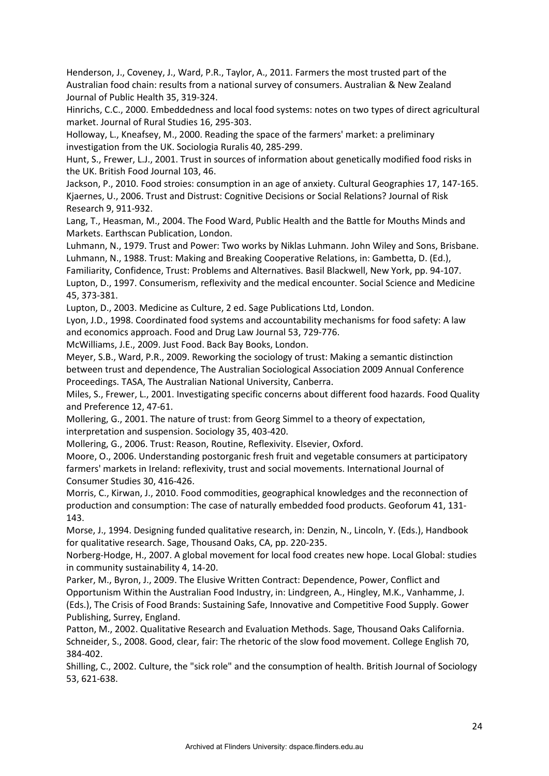Henderson, J., Coveney, J., Ward, P.R., Taylor, A., 2011. Farmers the most trusted part of the Australian food chain: results from a national survey of consumers. Australian & New Zealand Journal of Public Health 35, 319-324.

Hinrichs, C.C., 2000. Embeddedness and local food systems: notes on two types of direct agricultural market. Journal of Rural Studies 16, 295-303.

Holloway, L., Kneafsey, M., 2000. Reading the space of the farmers' market: a preliminary investigation from the UK. Sociologia Ruralis 40, 285-299.

Hunt, S., Frewer, L.J., 2001. Trust in sources of information about genetically modified food risks in the UK. British Food Journal 103, 46.

Jackson, P., 2010. Food stroies: consumption in an age of anxiety. Cultural Geographies 17, 147-165. Kjaernes, U., 2006. Trust and Distrust: Cognitive Decisions or Social Relations? Journal of Risk Research 9, 911-932.

Lang, T., Heasman, M., 2004. The Food Ward, Public Health and the Battle for Mouths Minds and Markets. Earthscan Publication, London.

Luhmann, N., 1979. Trust and Power: Two works by Niklas Luhmann. John Wiley and Sons, Brisbane. Luhmann, N., 1988. Trust: Making and Breaking Cooperative Relations, in: Gambetta, D. (Ed.), Familiarity, Confidence, Trust: Problems and Alternatives. Basil Blackwell, New York, pp. 94-107. Lupton, D., 1997. Consumerism, reflexivity and the medical encounter. Social Science and Medicine 45, 373-381.

Lupton, D., 2003. Medicine as Culture, 2 ed. Sage Publications Ltd, London.

Lyon, J.D., 1998. Coordinated food systems and accountability mechanisms for food safety: A law and economics approach. Food and Drug Law Journal 53, 729-776.

McWilliams, J.E., 2009. Just Food. Back Bay Books, London.

Meyer, S.B., Ward, P.R., 2009. Reworking the sociology of trust: Making a semantic distinction between trust and dependence, The Australian Sociological Association 2009 Annual Conference Proceedings. TASA, The Australian National University, Canberra.

Miles, S., Frewer, L., 2001. Investigating specific concerns about different food hazards. Food Quality and Preference 12, 47-61.

Mollering, G., 2001. The nature of trust: from Georg Simmel to a theory of expectation,

interpretation and suspension. Sociology 35, 403-420.

Mollering, G., 2006. Trust: Reason, Routine, Reflexivity. Elsevier, Oxford.

Moore, O., 2006. Understanding postorganic fresh fruit and vegetable consumers at participatory farmers' markets in Ireland: reflexivity, trust and social movements. International Journal of Consumer Studies 30, 416-426.

Morris, C., Kirwan, J., 2010. Food commodities, geographical knowledges and the reconnection of production and consumption: The case of naturally embedded food products. Geoforum 41, 131- 143.

Morse, J., 1994. Designing funded qualitative research, in: Denzin, N., Lincoln, Y. (Eds.), Handbook for qualitative research. Sage, Thousand Oaks, CA, pp. 220-235.

Norberg-Hodge, H., 2007. A global movement for local food creates new hope. Local Global: studies in community sustainability 4, 14-20.

Parker, M., Byron, J., 2009. The Elusive Written Contract: Dependence, Power, Conflict and Opportunism Within the Australian Food Industry, in: Lindgreen, A., Hingley, M.K., Vanhamme, J. (Eds.), The Crisis of Food Brands: Sustaining Safe, Innovative and Competitive Food Supply. Gower Publishing, Surrey, England.

Patton, M., 2002. Qualitative Research and Evaluation Methods. Sage, Thousand Oaks California. Schneider, S., 2008. Good, clear, fair: The rhetoric of the slow food movement. College English 70, 384-402.

Shilling, C., 2002. Culture, the "sick role" and the consumption of health. British Journal of Sociology 53, 621-638.